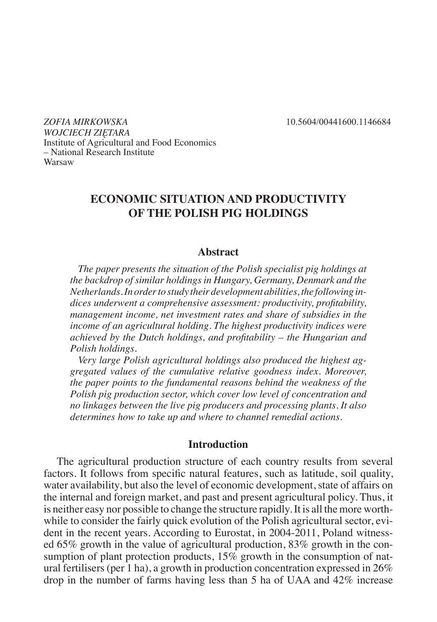*ZOFIA MIRKOWSKA* 10.5604/00441600.1146684 *WOJCIECH ZIĘTARA* Institute of Agricultural and Food Economics – National Research Institute Warsaw

# **ECONOMIC SITUATION AND PRODUCTIVITY OF THE POLISH PIG HOLDINGS**

#### **Abstract**

*The paper presents the situation of the Polish specialist pig holdings at the backdrop of similar holdings in Hungary, Germany, Denmark and the Netherlands. In order to study their development abilities, the following indices underwent a comprehensive assessment: productivity, profitability, management income, net investment rates and share of subsidies in the income of an agricultural holding. The highest productivity indices were achieved by the Dutch holdings, and profitability – the Hungarian and Polish holdings.* 

*Very large Polish agricultural holdings also produced the highest aggregated values of the cumulative relative goodness index. Moreover, the paper points to the fundamental reasons behind the weakness of the Polish pig production sector, which cover low level of concentration and no linkages between the live pig producers and processing plants. It also determines how to take up and where to channel remedial actions.* 

#### **Introduction**

The agricultural production structure of each country results from several factors. It follows from specific natural features, such as latitude, soil quality, water availability, but also the level of economic development, state of affairs on the internal and foreign market, and past and present agricultural policy. Thus, it is neither easy nor possible to change the structure rapidly. It is all the more worthwhile to consider the fairly quick evolution of the Polish agricultural sector, evident in the recent years. According to Eurostat, in 2004-2011, Poland witnessed 65% growth in the value of agricultural production, 83% growth in the consumption of plant protection products, 15% growth in the consumption of natural fertilisers (per 1 ha), a growth in production concentration expressed in 26% drop in the number of farms having less than 5 ha of UAA and 42% increase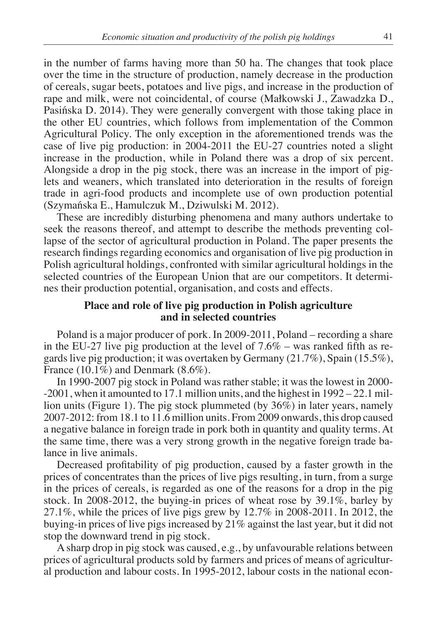in the number of farms having more than 50 ha. The changes that took place over the time in the structure of production, namely decrease in the production of cereals, sugar beets, potatoes and live pigs, and increase in the production of rape and milk, were not coincidental, of course (Małkowski J., Zawadzka D., Pasińska D. 2014). They were generally convergent with those taking place in the other EU countries, which follows from implementation of the Common Agricultural Policy. The only exception in the aforementioned trends was the case of live pig production: in 2004-2011 the EU-27 countries noted a slight increase in the production, while in Poland there was a drop of six percent. Alongside a drop in the pig stock, there was an increase in the import of piglets and weaners, which translated into deterioration in the results of foreign trade in agri-food products and incomplete use of own production potential (Szymańska E., Hamulczuk M., Dziwulski M. 2012).

These are incredibly disturbing phenomena and many authors undertake to seek the reasons thereof, and attempt to describe the methods preventing collapse of the sector of agricultural production in Poland. The paper presents the research findings regarding economics and organisation of live pig production in Polish agricultural holdings, confronted with similar agricultural holdings in the selected countries of the European Union that are our competitors. It determines their production potential, organisation, and costs and effects.

## **Place and role of live pig production in Polish agriculture and in selected countries**

Poland is a major producer of pork. In 2009-2011, Poland – recording a share in the EU-27 live pig production at the level of 7.6% – was ranked fifth as regards live pig production; it was overtaken by Germany (21.7%), Spain (15.5%), France  $(10.1\%)$  and Denmark  $(8.6\%).$ 

In 1990-2007 pig stock in Poland was rather stable; it was the lowest in 2000- -2001, when it amounted to 17.1 million units, and the highest in 1992 – 22.1 million units (Figure 1). The pig stock plummeted (by 36%) in later years, namely 2007-2012: from 18.1 to 11.6 million units. From 2009 onwards, this drop caused a negative balance in foreign trade in pork both in quantity and quality terms. At the same time, there was a very strong growth in the negative foreign trade balance in live animals.

Decreased profitability of pig production, caused by a faster growth in the prices of concentrates than the prices of live pigs resulting, in turn, from a surge in the prices of cereals, is regarded as one of the reasons for a drop in the pig stock. In 2008-2012, the buying-in prices of wheat rose by 39.1%, barley by 27.1%, while the prices of live pigs grew by 12.7% in 2008-2011. In 2012, the buying-in prices of live pigs increased by 21% against the last year, but it did not stop the downward trend in pig stock.

A sharp drop in pig stock was caused, e.g., by unfavourable relations between prices of agricultural products sold by farmers and prices of means of agricultural production and labour costs. In 1995-2012, labour costs in the national econ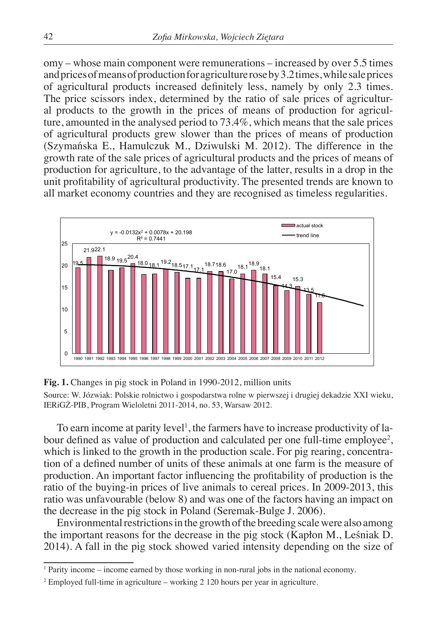omy – whose main component were remunerations – increased by over 5.5 times and prices of means of production for agriculture rose by 3.2 times, while sale prices of agricultural products increased definitely less, namely by only 2.3 times. The price scissors index, determined by the ratio of sale prices of agricultural products to the growth in the prices of means of production for agriculture, amounted in the analysed period to 73.4%, which means that the sale prices of agricultural products grew slower than the prices of means of production (Szymańska E., Hamulczuk M., Dziwulski M. 2012). The difference in the growth rate of the sale prices of agricultural products and the prices of means of production for agriculture, to the advantage of the latter, results in a drop in the unit profitability of agricultural productivity. The presented trends are known to all market economy countries and they are recognised as timeless regularities.



**Fig. 1.** Changes in pig stock in Poland in 1990-2012, million units

Source: W. Józwiak: Polskie rolnictwo i gospodarstwa rolne w pierwszej i drugiej dekadzie XXI wieku, IERiGŻ-PIB, Program Wieloletni 2011-2014, no. 53, Warsaw 2012.

To earn income at parity level<sup>1</sup>, the farmers have to increase productivity of labour defined as value of production and calculated per one full-time employee<sup>2</sup>, which is linked to the growth in the production scale. For pig rearing, concentration of a defined number of units of these animals at one farm is the measure of production. An important factor influencing the profitability of production is the ratio of the buying-in prices of live animals to cereal prices. In 2009-2013, this ratio was unfavourable (below 8) and was one of the factors having an impact on the decrease in the pig stock in Poland (Seremak-Bulge J. 2006).

Environmental restrictions in the growth of the breeding scale were also among the important reasons for the decrease in the pig stock (Kapłon M., Leśniak D. 2014). A fall in the pig stock showed varied intensity depending on the size of

<sup>1</sup> Parity income – income earned by those working in non-rural jobs in the national economy.

<sup>&</sup>lt;sup>2</sup> Employed full-time in agriculture – working 2 120 hours per year in agriculture.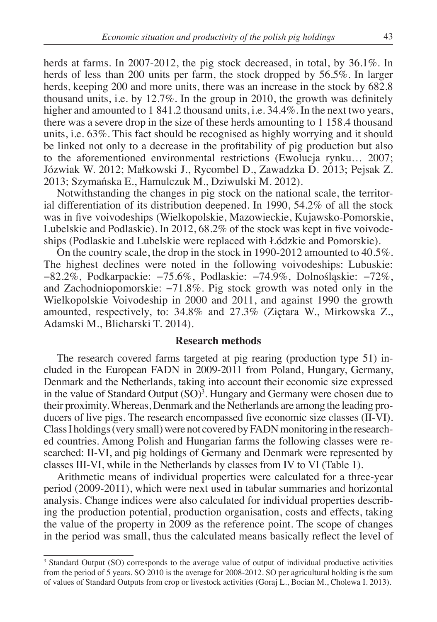herds at farms. In 2007-2012, the pig stock decreased, in total, by 36.1%. In herds of less than 200 units per farm, the stock dropped by 56.5%. In larger herds, keeping 200 and more units, there was an increase in the stock by 682.8 thousand units, i.e. by 12.7%. In the group in 2010, the growth was definitely higher and amounted to 1 841.2 thousand units, i.e. 34.4%. In the next two years, there was a severe drop in the size of these herds amounting to 1 158.4 thousand units, i.e. 63%. This fact should be recognised as highly worrying and it should be linked not only to a decrease in the profitability of pig production but also to the aforementioned environmental restrictions (Ewolucja rynku… 2007; Józwiak W. 2012; Małkowski J., Rycombel D., Zawadzka D. 2013; Pejsak Z. 2013; Szymańska E., Hamulczuk M., Dziwulski M. 2012).

Notwithstanding the changes in pig stock on the national scale, the territorial differentiation of its distribution deepened. In 1990, 54.2% of all the stock was in five voivodeships (Wielkopolskie, Mazowieckie, Kujawsko-Pomorskie, Lubelskie and Podlaskie). In 2012, 68.2% of the stock was kept in five voivodeships (Podlaskie and Lubelskie were replaced with Łódzkie and Pomorskie).

On the country scale, the drop in the stock in 1990-2012 amounted to 40.5%. The highest declines were noted in the following voivodeships: Lubuskie: −82.2%, Podkarpackie: −75.6%, Podlaskie: −74.9%, Dolnośląskie: −72%, and Zachodniopomorskie: −71.8%. Pig stock growth was noted only in the Wielkopolskie Voivodeship in 2000 and 2011, and against 1990 the growth amounted, respectively, to: 34.8% and 27.3% (Ziętara W., Mirkowska Z., Adamski M., Blicharski T. 2014).

#### **Research methods**

The research covered farms targeted at pig rearing (production type 51) included in the European FADN in 2009-2011 from Poland, Hungary, Germany, Denmark and the Netherlands, taking into account their economic size expressed in the value of Standard Output  $(SO)<sup>3</sup>$ . Hungary and Germany were chosen due to their proximity. Whereas, Denmark and the Netherlands are among the leading producers of live pigs. The research encompassed five economic size classes (II-VI). Class I holdings (very small) were not covered by FADN monitoring in the researched countries. Among Polish and Hungarian farms the following classes were researched: II-VI, and pig holdings of Germany and Denmark were represented by classes III-VI, while in the Netherlands by classes from IV to VI (Table 1).

Arithmetic means of individual properties were calculated for a three-year period (2009-2011), which were next used in tabular summaries and horizontal analysis. Change indices were also calculated for individual properties describing the production potential, production organisation, costs and effects, taking the value of the property in 2009 as the reference point. The scope of changes in the period was small, thus the calculated means basically reflect the level of

<sup>3</sup> Standard Output (SO) corresponds to the average value of output of individual productive activities from the period of 5 years. SO 2010 is the average for 2008-2012. SO per agricultural holding is the sum of values of Standard Outputs from crop or livestock activities (Goraj L., Bocian M., Cholewa I. 2013).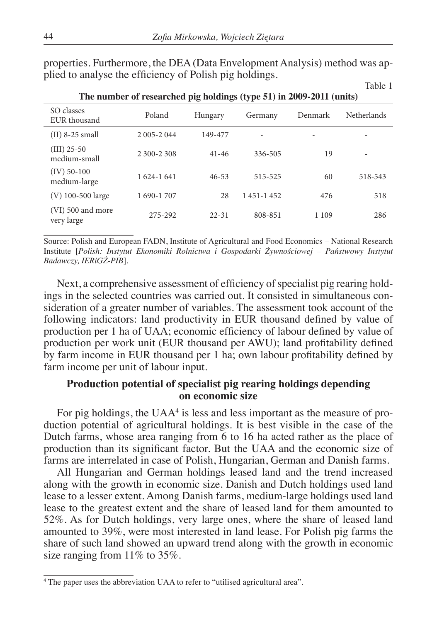properties. Furthermore, the DEA (Data Envelopment Analysis) method was applied to analyse the efficiency of Polish pig holdings.

| SO classes<br>EUR thousand      | Poland      | Hungary   | Germany     | Denmark | <b>Netherlands</b>       |
|---------------------------------|-------------|-----------|-------------|---------|--------------------------|
| $(II)$ 8-25 small               | 2 005-2 044 | 149-477   |             |         |                          |
| $(III)$ 25-50<br>medium-small   | 2 300-2 308 | $41 - 46$ | 336-505     | 19      | $\overline{\phantom{0}}$ |
| $(IV)$ 50-100<br>medium-large   | 1 624-1 641 | $46 - 53$ | 515-525     | 60      | 518-543                  |
| $(V)$ 100-500 large             | 1 690-1 707 | 28        | 1 451-1 452 | 476     | 518                      |
| (VI) 500 and more<br>very large | 275-292     | $22 - 31$ | 808-851     | 1 1 0 9 | 286                      |

**The number of researched pig holdings (type 51) in 2009-2011 (units)**

Source: Polish and European FADN, Institute of Agricultural and Food Economics – National Research Institute [*Polish: Instytut Ekonomiki Rolnictwa i Gospodarki Żywnościowej – Państwowy Instytut Badawczy, IERiGŻ-PIB*].

Next, a comprehensive assessment of efficiency of specialist pig rearing holdings in the selected countries was carried out. It consisted in simultaneous consideration of a greater number of variables. The assessment took account of the following indicators: land productivity in EUR thousand defined by value of production per 1 ha of UAA; economic efficiency of labour defined by value of production per work unit (EUR thousand per AWU); land profitability defined by farm income in EUR thousand per 1 ha; own labour profitability defined by farm income per unit of labour input.

# **Production potential of specialist pig rearing holdings depending on economic size**

For pig holdings, the UAA<sup>4</sup> is less and less important as the measure of production potential of agricultural holdings. It is best visible in the case of the Dutch farms, whose area ranging from 6 to 16 ha acted rather as the place of production than its significant factor. But the UAA and the economic size of farms are interrelated in case of Polish, Hungarian, German and Danish farms.

All Hungarian and German holdings leased land and the trend increased along with the growth in economic size. Danish and Dutch holdings used land lease to a lesser extent. Among Danish farms, medium-large holdings used land lease to the greatest extent and the share of leased land for them amounted to 52%. As for Dutch holdings, very large ones, where the share of leased land amounted to 39%, were most interested in land lease. For Polish pig farms the share of such land showed an upward trend along with the growth in economic size ranging from 11% to 35%.

<sup>4</sup> The paper uses the abbreviation UAA to refer to "utilised agricultural area".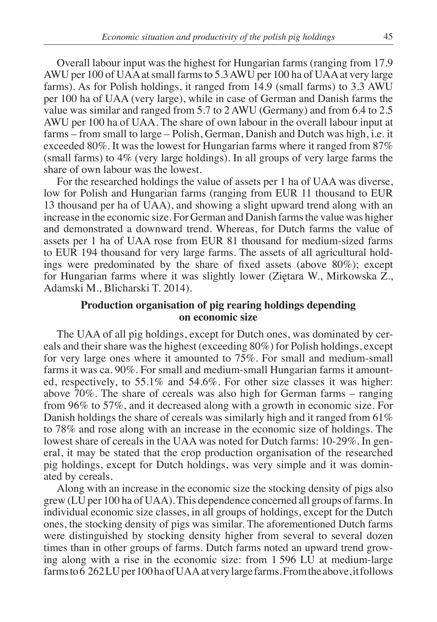Overall labour input was the highest for Hungarian farms (ranging from 17.9 AWU per 100 of UAA at small farms to 5.3 AWU per 100 ha of UAA at very large farms). As for Polish holdings, it ranged from 14.9 (small farms) to 3.3 AWU per 100 ha of UAA (very large), while in case of German and Danish farms the value was similar and ranged from 5.7 to 2 AWU (Germany) and from 6.4 to 2.5 AWU per 100 ha of UAA. The share of own labour in the overall labour input at farms – from small to large – Polish, German, Danish and Dutch was high, i.e. it exceeded 80%. It was the lowest for Hungarian farms where it ranged from 87% (small farms) to  $4\%$  (very large holdings). In all groups of very large farms the share of own labour was the lowest.

For the researched holdings the value of assets per 1 ha of UAA was diverse, low for Polish and Hungarian farms (ranging from EUR 11 thousand to EUR 13 thousand per ha of UAA), and showing a slight upward trend along with an increase in the economic size. For German and Danish farms the value was higher and demonstrated a downward trend. Whereas, for Dutch farms the value of assets per 1 ha of UAA rose from EUR 81 thousand for medium-sized farms to EUR 194 thousand for very large farms. The assets of all agricultural holdings were predominated by the share of fixed assets (above 80%); except for Hungarian farms where it was slightly lower (Ziętara W., Mirkowska Z., Adamski M., Blicharski T. 2014).

## **Production organisation of pig rearing holdings depending on economic size**

The UAA of all pig holdings, except for Dutch ones, was dominated by cereals and their share was the highest (exceeding 80%) for Polish holdings, except for very large ones where it amounted to 75%. For small and medium-small farms it was ca. 90%. For small and medium-small Hungarian farms it amounted, respectively, to 55.1% and 54.6%. For other size classes it was higher: above 70%. The share of cereals was also high for German farms – ranging from 96% to 57%, and it decreased along with a growth in economic size. For Danish holdings the share of cereals was similarly high and it ranged from  $61\%$ to 78% and rose along with an increase in the economic size of holdings. The lowest share of cereals in the UAA was noted for Dutch farms: 10-29%. In general, it may be stated that the crop production organisation of the researched pig holdings, except for Dutch holdings, was very simple and it was dominated by cereals.

Along with an increase in the economic size the stocking density of pigs also grew (LU per 100 ha of UAA). This dependence concerned all groups of farms. In individual economic size classes, in all groups of holdings, except for the Dutch ones, the stocking density of pigs was similar. The aforementioned Dutch farms were distinguished by stocking density higher from several to several dozen times than in other groups of farms. Dutch farms noted an upward trend growing along with a rise in the economic size: from 1 596 LU at medium-large farms to 6 262 LU per 100 ha of UAA at very large farms. From the above, it follows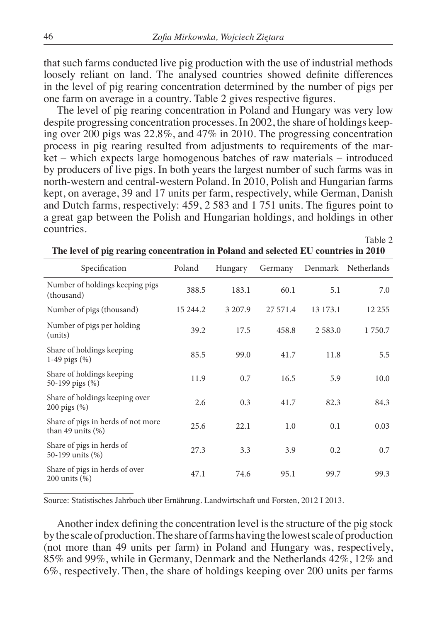that such farms conducted live pig production with the use of industrial methods loosely reliant on land. The analysed countries showed definite differences in the level of pig rearing concentration determined by the number of pigs per one farm on average in a country. Table 2 gives respective figures.

The level of pig rearing concentration in Poland and Hungary was very low despite progressing concentration processes. In 2002, the share of holdings keeping over 200 pigs was 22.8%, and 47% in 2010. The progressing concentration process in pig rearing resulted from adjustments to requirements of the market – which expects large homogenous batches of raw materials – introduced by producers of live pigs. In both years the largest number of such farms was in north-western and central-western Poland. In 2010, Polish and Hungarian farms kept, on average, 39 and 17 units per farm, respectively, while German, Danish and Dutch farms, respectively: 459, 2 583 and 1 751 units. The figures point to a great gap between the Polish and Hungarian holdings, and holdings in other countries.

| Specification                                              | Poland   | Hungary | Germany  |            | Denmark Netherlands |  |  |  |
|------------------------------------------------------------|----------|---------|----------|------------|---------------------|--|--|--|
| Number of holdings keeping pigs<br>(thousand)              | 388.5    | 183.1   | 60.1     | 5.1        | 7.0                 |  |  |  |
| Number of pigs (thousand)                                  | 15 244.2 | 3 207.9 | 27 571.4 | 13 173.1   | 12 255              |  |  |  |
| Number of pigs per holding<br>(units)                      | 39.2     | 17.5    | 458.8    | 2 5 8 3 .0 | 1 750.7             |  |  |  |
| Share of holdings keeping<br>1-49 pigs $(\%)$              | 85.5     | 99.0    | 41.7     | 11.8       | 5.5                 |  |  |  |
| Share of holdings keeping<br>50-199 pigs (%)               | 11.9     | 0.7     | 16.5     | 5.9        | 10.0                |  |  |  |
| Share of holdings keeping over<br>200 pigs $(\%)$          | 2.6      | 0.3     | 41.7     | 82.3       | 84.3                |  |  |  |
| Share of pigs in herds of not more<br>than 49 units $(\%)$ | 25.6     | 22.1    | 1.0      | 0.1        | 0.03                |  |  |  |
| Share of pigs in herds of<br>50-199 units (%)              | 27.3     | 3.3     | 3.9      | 0.2        | 0.7                 |  |  |  |
| Share of pigs in herds of over<br>$200$ units $(\%)$       | 47.1     | 74.6    | 95.1     | 99.7       | 99.3                |  |  |  |

**The level of pig rearing concentration in Poland and selected EU countries in 2010**

Table 2

Source: Statistisches Jahrbuch über Ernährung. Landwirtschaft und Forsten, 2012 I 2013.

Another index defining the concentration level is the structure of the pig stock by the scale of production. The share of farms having the lowest scale of production (not more than 49 units per farm) in Poland and Hungary was, respectively, 85% and 99%, while in Germany, Denmark and the Netherlands 42%, 12% and 6%, respectively. Then, the share of holdings keeping over 200 units per farms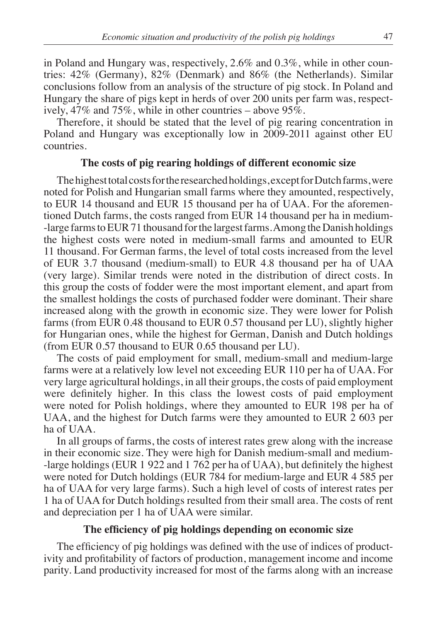in Poland and Hungary was, respectively, 2.6% and 0.3%, while in other countries: 42% (Germany), 82% (Denmark) and 86% (the Netherlands). Similar conclusions follow from an analysis of the structure of pig stock. In Poland and Hungary the share of pigs kept in herds of over 200 units per farm was, respectively, 47% and 75%, while in other countries – above 95%.

Therefore, it should be stated that the level of pig rearing concentration in Poland and Hungary was exceptionally low in 2009-2011 against other EU countries.

#### **The costs of pig rearing holdings of different economic size**

The highest total costs for the researched holdings, except for Dutch farms, were noted for Polish and Hungarian small farms where they amounted, respectively, to EUR 14 thousand and EUR 15 thousand per ha of UAA. For the aforementioned Dutch farms, the costs ranged from EUR 14 thousand per ha in medium- -large farms to EUR 71 thousand for the largest farms. Among the Danish holdings the highest costs were noted in medium-small farms and amounted to EUR 11 thousand. For German farms, the level of total costs increased from the level of EUR 3.7 thousand (medium-small) to EUR 4.8 thousand per ha of UAA (very large). Similar trends were noted in the distribution of direct costs. In this group the costs of fodder were the most important element, and apart from the smallest holdings the costs of purchased fodder were dominant. Their share increased along with the growth in economic size. They were lower for Polish farms (from EUR 0.48 thousand to EUR 0.57 thousand per LU), slightly higher for Hungarian ones, while the highest for German, Danish and Dutch holdings (from EUR 0.57 thousand to EUR 0.65 thousand per LU).

The costs of paid employment for small, medium-small and medium-large farms were at a relatively low level not exceeding EUR 110 per ha of UAA. For very large agricultural holdings, in all their groups, the costs of paid employment were definitely higher. In this class the lowest costs of paid employment were noted for Polish holdings, where they amounted to EUR 198 per ha of UAA, and the highest for Dutch farms were they amounted to EUR 2 603 per ha of UAA.

In all groups of farms, the costs of interest rates grew along with the increase in their economic size. They were high for Danish medium-small and medium- -large holdings (EUR 1 922 and 1 762 per ha of UAA), but definitely the highest were noted for Dutch holdings (EUR 784 for medium-large and EUR 4 585 per ha of UAA for very large farms). Such a high level of costs of interest rates per 1 ha of UAA for Dutch holdings resulted from their small area. The costs of rent and depreciation per 1 ha of UAA were similar.

## **The efficiency of pig holdings depending on economic size**

The efficiency of pig holdings was defined with the use of indices of productivity and profitability of factors of production, management income and income parity. Land productivity increased for most of the farms along with an increase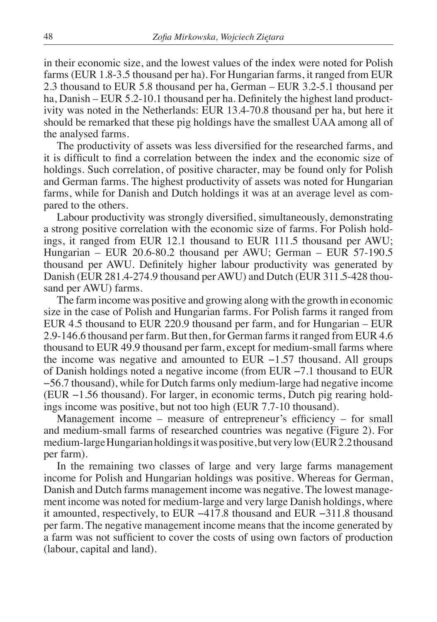in their economic size, and the lowest values of the index were noted for Polish farms (EUR 1.8-3.5 thousand per ha). For Hungarian farms, it ranged from EUR 2.3 thousand to EUR 5.8 thousand per ha, German – EUR 3.2-5.1 thousand per ha, Danish – EUR 5.2-10.1 thousand per ha. Definitely the highest land productivity was noted in the Netherlands: EUR 13.4-70.8 thousand per ha, but here it should be remarked that these pig holdings have the smallest UAA among all of the analysed farms.

The productivity of assets was less diversified for the researched farms, and it is difficult to find a correlation between the index and the economic size of holdings. Such correlation, of positive character, may be found only for Polish and German farms. The highest productivity of assets was noted for Hungarian farms, while for Danish and Dutch holdings it was at an average level as compared to the others.

Labour productivity was strongly diversified, simultaneously, demonstrating a strong positive correlation with the economic size of farms. For Polish holdings, it ranged from EUR 12.1 thousand to EUR 111.5 thousand per AWU; Hungarian – EUR 20.6-80.2 thousand per AWU; German – EUR 57-190.5 thousand per AWU. Definitely higher labour productivity was generated by Danish (EUR 281.4-274.9 thousand per AWU) and Dutch (EUR 311.5-428 thousand per AWU) farms.

The farm income was positive and growing along with the growth in economic size in the case of Polish and Hungarian farms. For Polish farms it ranged from EUR 4.5 thousand to EUR 220.9 thousand per farm, and for Hungarian – EUR 2.9-146.6 thousand per farm. But then, for German farms it ranged from EUR 4.6 thousand to EUR 49.9 thousand per farm, except for medium-small farms where the income was negative and amounted to EUR  $-1.57$  thousand. All groups of Danish holdings noted a negative income (from EUR −7.1 thousand to EUR −56.7 thousand), while for Dutch farms only medium-large had negative income (EUR −1.56 thousand). For larger, in economic terms, Dutch pig rearing holdings income was positive, but not too high (EUR 7.7-10 thousand).

Management income – measure of entrepreneur's efficiency – for small and medium-small farms of researched countries was negative (Figure 2). For medium-large Hungarian holdings it was positive, but very low (EUR 2.2 thousand per farm).

In the remaining two classes of large and very large farms management income for Polish and Hungarian holdings was positive. Whereas for German, Danish and Dutch farms management income was negative. The lowest management income was noted for medium-large and very large Danish holdings, where it amounted, respectively, to EUR −417.8 thousand and EUR −311.8 thousand per farm. The negative management income means that the income generated by a farm was not sufficient to cover the costs of using own factors of production (labour, capital and land).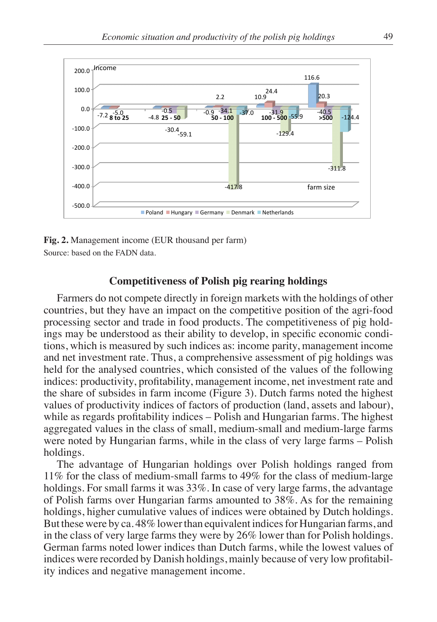

**Fig. 2.** Management income (EUR thousand per farm) Source: based on the FADN data.

#### **Competitiveness of Polish pig rearing holdings**

Farmers do not compete directly in foreign markets with the holdings of other countries, but they have an impact on the competitive position of the agri-food processing sector and trade in food products. The competitiveness of pig holdings may be understood as their ability to develop, in specific economic conditions, which is measured by such indices as: income parity, management income and net investment rate. Thus, a comprehensive assessment of pig holdings was held for the analysed countries, which consisted of the values of the following indices: productivity, profitability, management income, net investment rate and the share of subsides in farm income (Figure 3). Dutch farms noted the highest values of productivity indices of factors of production (land, assets and labour), while as regards profitability indices – Polish and Hungarian farms. The highest aggregated values in the class of small, medium-small and medium-large farms were noted by Hungarian farms, while in the class of very large farms – Polish holdings.

The advantage of Hungarian holdings over Polish holdings ranged from 11% for the class of medium-small farms to 49% for the class of medium-large holdings. For small farms it was 33%. In case of very large farms, the advantage of Polish farms over Hungarian farms amounted to 38%. As for the remaining holdings, higher cumulative values of indices were obtained by Dutch holdings. But these were by ca. 48% lower than equivalent indices for Hungarian farms, and in the class of very large farms they were by 26% lower than for Polish holdings. German farms noted lower indices than Dutch farms, while the lowest values of indices were recorded by Danish holdings, mainly because of very low profitability indices and negative management income.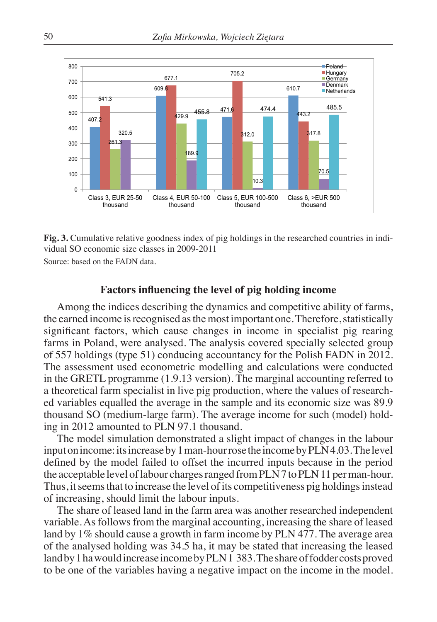

**Fig. 3.** Cumulative relative goodness index of pig holdings in the researched countries in individual SO economic size classes in 2009-2011

Source: based on the FADN data.

## **Factors influencing the level of pig holding income**

Among the indices describing the dynamics and competitive ability of farms, the earned income is recognised as the most important one. Therefore, statistically significant factors, which cause changes in income in specialist pig rearing farms in Poland, were analysed. The analysis covered specially selected group of 557 holdings (type 51) conducing accountancy for the Polish FADN in 2012. The assessment used econometric modelling and calculations were conducted in the GRETL programme (1.9.13 version). The marginal accounting referred to a theoretical farm specialist in live pig production, where the values of researched variables equalled the average in the sample and its economic size was 89.9 thousand SO (medium-large farm). The average income for such (model) holding in 2012 amounted to PLN 97.1 thousand.

The model simulation demonstrated a slight impact of changes in the labour input on income: its increase by 1 man-hour rose the income by PLN 4.03. The level defined by the model failed to offset the incurred inputs because in the period the acceptable level of labour charges ranged from PLN 7 to PLN 11 per man-hour. Thus, it seems that to increase the level of its competitiveness pig holdings instead of increasing, should limit the labour inputs.

The share of leased land in the farm area was another researched independent variable. As follows from the marginal accounting, increasing the share of leased land by 1% should cause a growth in farm income by PLN 477. The average area of the analysed holding was 34.5 ha, it may be stated that increasing the leased land by 1 ha would increase income by PLN 1 383. The share of fodder costs proved to be one of the variables having a negative impact on the income in the model.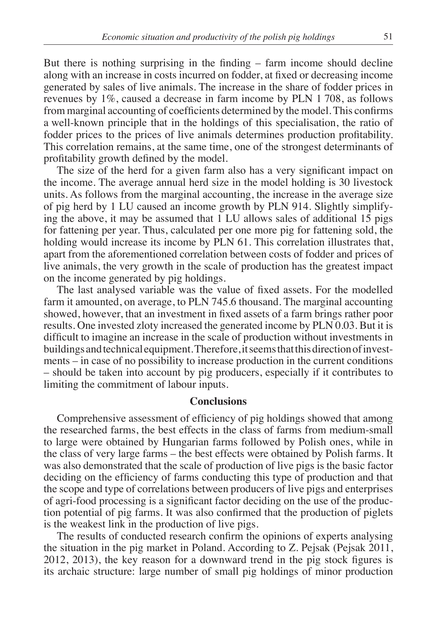But there is nothing surprising in the finding – farm income should decline along with an increase in costs incurred on fodder, at fixed or decreasing income generated by sales of live animals. The increase in the share of fodder prices in revenues by 1%, caused a decrease in farm income by PLN 1 708, as follows from marginal accounting of coefficients determined by the model. This confirms a well-known principle that in the holdings of this specialisation, the ratio of fodder prices to the prices of live animals determines production profitability. This correlation remains, at the same time, one of the strongest determinants of profitability growth defined by the model.

The size of the herd for a given farm also has a very significant impact on the income. The average annual herd size in the model holding is 30 livestock units. As follows from the marginal accounting, the increase in the average size of pig herd by 1 LU caused an income growth by PLN 914. Slightly simplifying the above, it may be assumed that 1 LU allows sales of additional 15 pigs for fattening per year. Thus, calculated per one more pig for fattening sold, the holding would increase its income by PLN 61. This correlation illustrates that, apart from the aforementioned correlation between costs of fodder and prices of live animals, the very growth in the scale of production has the greatest impact on the income generated by pig holdings.

The last analysed variable was the value of fixed assets. For the modelled farm it amounted, on average, to PLN 745.6 thousand. The marginal accounting showed, however, that an investment in fixed assets of a farm brings rather poor results. One invested zloty increased the generated income by PLN 0.03. But it is difficult to imagine an increase in the scale of production without investments in buildings and technical equipment. Therefore, it seems that this direction of investments – in case of no possibility to increase production in the current conditions – should be taken into account by pig producers, especially if it contributes to limiting the commitment of labour inputs.

# **Conclusions**

Comprehensive assessment of efficiency of pig holdings showed that among the researched farms, the best effects in the class of farms from medium-small to large were obtained by Hungarian farms followed by Polish ones, while in the class of very large farms – the best effects were obtained by Polish farms. It was also demonstrated that the scale of production of live pigs is the basic factor deciding on the efficiency of farms conducting this type of production and that the scope and type of correlations between producers of live pigs and enterprises of agri-food processing is a significant factor deciding on the use of the production potential of pig farms. It was also confirmed that the production of piglets is the weakest link in the production of live pigs.

The results of conducted research confirm the opinions of experts analysing the situation in the pig market in Poland. According to Z. Pejsak (Pejsak 2011, 2012, 2013), the key reason for a downward trend in the pig stock figures is its archaic structure: large number of small pig holdings of minor production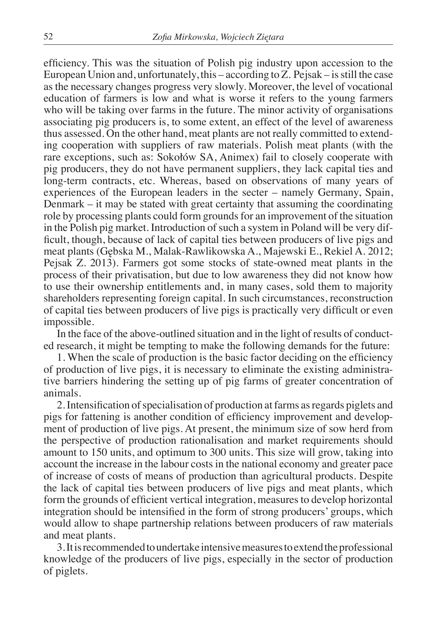efficiency. This was the situation of Polish pig industry upon accession to the European Union and, unfortunately, this – according to Z. Pejsak – is still the case as the necessary changes progress very slowly. Moreover, the level of vocational education of farmers is low and what is worse it refers to the young farmers who will be taking over farms in the future. The minor activity of organisations associating pig producers is, to some extent, an effect of the level of awareness thus assessed. On the other hand, meat plants are not really committed to extending cooperation with suppliers of raw materials. Polish meat plants (with the rare exceptions, such as: Sokołów SA, Animex) fail to closely cooperate with pig producers, they do not have permanent suppliers, they lack capital ties and long-term contracts, etc. Whereas, based on observations of many years of experiences of the European leaders in the secter – namely Germany, Spain, Denmark – it may be stated with great certainty that assuming the coordinating role by processing plants could form grounds for an improvement of the situation in the Polish pig market. Introduction of such a system in Poland will be very difficult, though, because of lack of capital ties between producers of live pigs and meat plants (Gębska M., Malak-Rawlikowska A., Majewski E., Rekiel A. 2012; Pejsak Z. 2013). Farmers got some stocks of state-owned meat plants in the process of their privatisation, but due to low awareness they did not know how to use their ownership entitlements and, in many cases, sold them to majority shareholders representing foreign capital. In such circumstances, reconstruction of capital ties between producers of live pigs is practically very difficult or even impossible.

In the face of the above-outlined situation and in the light of results of conducted research, it might be tempting to make the following demands for the future:

1. When the scale of production is the basic factor deciding on the efficiency of production of live pigs, it is necessary to eliminate the existing administrative barriers hindering the setting up of pig farms of greater concentration of animals.

2. Intensification of specialisation of production at farms as regards piglets and pigs for fattening is another condition of efficiency improvement and development of production of live pigs. At present, the minimum size of sow herd from the perspective of production rationalisation and market requirements should amount to 150 units, and optimum to 300 units. This size will grow, taking into account the increase in the labour costs in the national economy and greater pace of increase of costs of means of production than agricultural products. Despite the lack of capital ties between producers of live pigs and meat plants, which form the grounds of efficient vertical integration, measures to develop horizontal integration should be intensified in the form of strong producers' groups, which would allow to shape partnership relations between producers of raw materials and meat plants.

3. It is recommended to undertake intensive measures to extend the professional knowledge of the producers of live pigs, especially in the sector of production of piglets.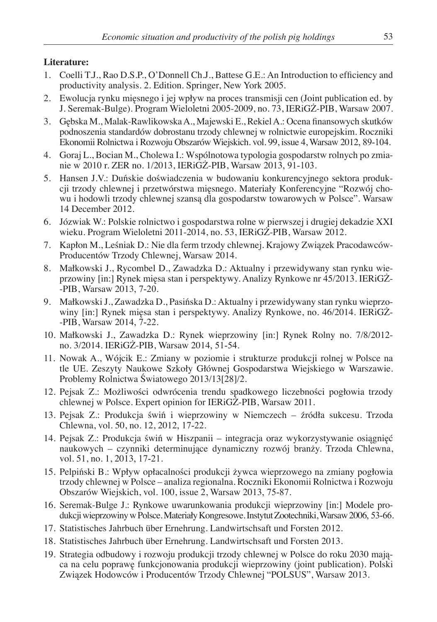# **Literature:**

- 1. Coelli T.J., Rao D.S.P., O'Donnell Ch.J., Battese G.E.: An Introduction to efficiency and productivity analysis. 2. Edition. Springer, New York 2005.
- 2. Ewolucja rynku mięsnego i jej wpływ na proces transmisji cen (Joint publication ed. by J. Seremak-Bulge). Program Wieloletni 2005-2009, no. 73, IERiGŻ-PIB, Warsaw 2007.
- 3. Gębska M., Malak-Rawlikowska A., Majewski E., Rekiel A.: Ocena finansowych skutków podnoszenia standardów dobrostanu trzody chlewnej w rolnictwie europejskim. Roczniki Ekonomii Rolnictwa i Rozwoju Obszarów Wiejskich. vol. 99, issue 4, Warsaw 2012, 89-104.
- 4. Goraj L., Bocian M., Cholewa I.: Wspólnotowa typologia gospodarstw rolnych po zmianie w 2010 r. ZER no. 1/2013, IERiGŻ-PIB, Warsaw 2013, 91-103.
- 5. Hansen J.V.: Duńskie doświadczenia w budowaniu konkurencyjnego sektora produkcji trzody chlewnej i przetwórstwa mięsnego. Materiały Konferencyjne "Rozwój chowu i hodowli trzody chlewnej szansą dla gospodarstw towarowych w Polsce". Warsaw 14 December 2012.
- 6. Józwiak W.: Polskie rolnictwo i gospodarstwa rolne w pierwszej i drugiej dekadzie XXI wieku. Program Wieloletni 2011-2014, no. 53, IERiGŻ-PIB, Warsaw 2012.
- 7. Kapłon M., Leśniak D.: Nie dla ferm trzody chlewnej. Krajowy Związek Pracodawców-Producentów Trzody Chlewnej, Warsaw 2014.
- 8. Małkowski J., Rycombel D., Zawadzka D.: Aktualny i przewidywany stan rynku wieprzowiny [in:] Rynek mięsa stan i perspektywy. Analizy Rynkowe nr 45/2013. IERiGŻ- -PIB, Warsaw 2013, 7-20.
- 9. Małkowski J., Zawadzka D., Pasińska D.: Aktualny i przewidywany stan rynku wieprzowiny [in:] Rynek mięsa stan i perspektywy. Analizy Rynkowe, no. 46/2014. IERiGŻ- -PIB, Warsaw 2014, 7-22.
- 10. Małkowski J., Zawadzka D.: Rynek wieprzowiny [in:] Rynek Rolny no. 7/8/2012 no. 3/2014. IERiGŻ-PIB, Warsaw 2014, 51-54.
- 11. Nowak A., Wójcik E.: Zmiany w poziomie i strukturze produkcji rolnej w Polsce na tle UE. Zeszyty Naukowe Szkoły Głównej Gospodarstwa Wiejskiego w Warszawie. Problemy Rolnictwa Światowego 2013/13[28]/2.
- 12. Pejsak Z.: Możliwości odwrócenia trendu spadkowego liczebności pogłowia trzody chlewnej w Polsce. Expert opinion for IERiGŻ-PIB, Warsaw 2011.
- 13. Pejsak Z.: Produkcja świń i wieprzowiny w Niemczech źródła sukcesu. Trzoda Chlewna, vol. 50, no. 12, 2012, 17-22.
- 14. Pejsak Z.: Produkcja świń w Hiszpanii integracja oraz wykorzystywanie osiągnięć naukowych – czynniki determinujące dynamiczny rozwój branży. Trzoda Chlewna, vol. 51, no. 1, 2013, 17-21.
- 15. Pelpiński B.: Wpływ opłacalności produkcji żywca wieprzowego na zmiany pogłowia trzody chlewnej w Polsce – analiza regionalna. Roczniki Ekonomii Rolnictwa i Rozwoju Obszarów Wiejskich, vol. 100, issue 2, Warsaw 2013, 75-87.
- 16. Seremak-Bulge J.: Rynkowe uwarunkowania produkcji wieprzowiny [in:] Modele produkcji wieprzowiny w Polsce. Materiały Kongresowe. Instytut Zootechniki, Warsaw 2006, 53-66.
- 17. Statistisches Jahrbuch über Ernehrung. Landwirtschsaft und Forsten 2012.
- 18. Statistisches Jahrbuch über Ernehrung. Landwirtschsaft und Forsten 2013.
- 19. Strategia odbudowy i rozwoju produkcji trzody chlewnej w Polsce do roku 2030 mająca na celu poprawę funkcjonowania produkcji wieprzowiny (joint publication). Polski Związek Hodowców i Producentów Trzody Chlewnej "POLSUS", Warsaw 2013.